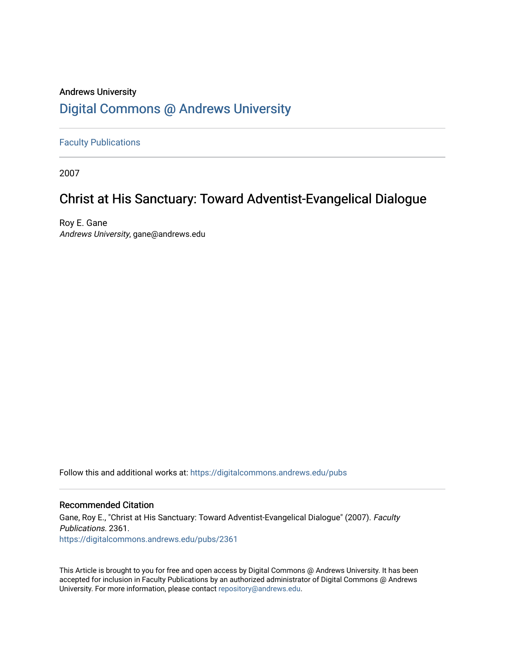# Andrews University [Digital Commons @ Andrews University](https://digitalcommons.andrews.edu/)

[Faculty Publications](https://digitalcommons.andrews.edu/pubs)

2007

# Christ at His Sanctuary: Toward Adventist-Evangelical Dialogue

Roy E. Gane Andrews University, gane@andrews.edu

Follow this and additional works at: [https://digitalcommons.andrews.edu/pubs](https://digitalcommons.andrews.edu/pubs?utm_source=digitalcommons.andrews.edu%2Fpubs%2F2361&utm_medium=PDF&utm_campaign=PDFCoverPages) 

#### Recommended Citation

Gane, Roy E., "Christ at His Sanctuary: Toward Adventist-Evangelical Dialogue" (2007). Faculty Publications. 2361. [https://digitalcommons.andrews.edu/pubs/2361](https://digitalcommons.andrews.edu/pubs/2361?utm_source=digitalcommons.andrews.edu%2Fpubs%2F2361&utm_medium=PDF&utm_campaign=PDFCoverPages) 

This Article is brought to you for free and open access by Digital Commons @ Andrews University. It has been accepted for inclusion in Faculty Publications by an authorized administrator of Digital Commons @ Andrews University. For more information, please contact [repository@andrews.edu](mailto:repository@andrews.edu).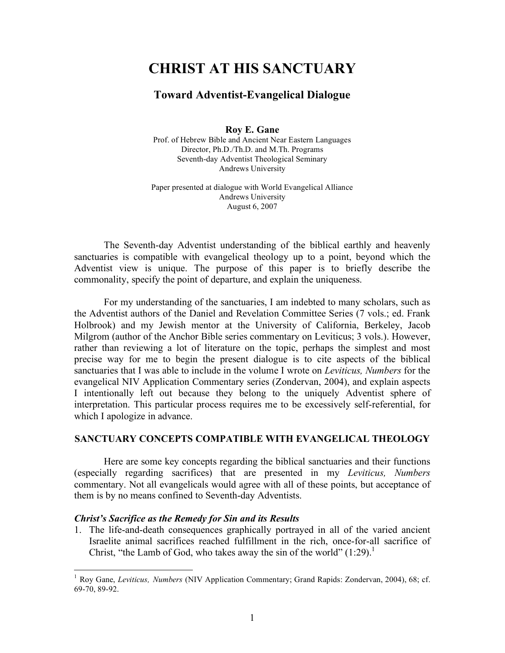# **CHRIST AT HIS SANCTUARY**

## **Toward Adventist-Evangelical Dialogue**

**Roy E. Gane**

Prof. of Hebrew Bible and Ancient Near Eastern Languages Director, Ph.D./Th.D. and M.Th. Programs Seventh-day Adventist Theological Seminary Andrews University

Paper presented at dialogue with World Evangelical Alliance Andrews University August 6, 2007

The Seventh-day Adventist understanding of the biblical earthly and heavenly sanctuaries is compatible with evangelical theology up to a point, beyond which the Adventist view is unique. The purpose of this paper is to briefly describe the commonality, specify the point of departure, and explain the uniqueness.

For my understanding of the sanctuaries, I am indebted to many scholars, such as the Adventist authors of the Daniel and Revelation Committee Series (7 vols.; ed. Frank Holbrook) and my Jewish mentor at the University of California, Berkeley, Jacob Milgrom (author of the Anchor Bible series commentary on Leviticus; 3 vols.). However, rather than reviewing a lot of literature on the topic, perhaps the simplest and most precise way for me to begin the present dialogue is to cite aspects of the biblical sanctuaries that I was able to include in the volume I wrote on *Leviticus, Numbers* for the evangelical NIV Application Commentary series (Zondervan, 2004), and explain aspects I intentionally left out because they belong to the uniquely Adventist sphere of interpretation. This particular process requires me to be excessively self-referential, for which I apologize in advance.

#### **SANCTUARY CONCEPTS COMPATIBLE WITH EVANGELICAL THEOLOGY**

Here are some key concepts regarding the biblical sanctuaries and their functions (especially regarding sacrifices) that are presented in my *Leviticus, Numbers* commentary. Not all evangelicals would agree with all of these points, but acceptance of them is by no means confined to Seventh-day Adventists.

#### *Christ's Sacrifice as the Remedy for Sin and its Results*

1. The life-and-death consequences graphically portrayed in all of the varied ancient Israelite animal sacrifices reached fulfillment in the rich, once-for-all sacrifice of Christ, "the Lamb of God, who takes away the sin of the world"  $(1:29)^1$ 

 <sup>1</sup> Roy Gane, *Leviticus, Numbers* (NIV Application Commentary; Grand Rapids: Zondervan, 2004), 68; cf. 69-70, 89-92.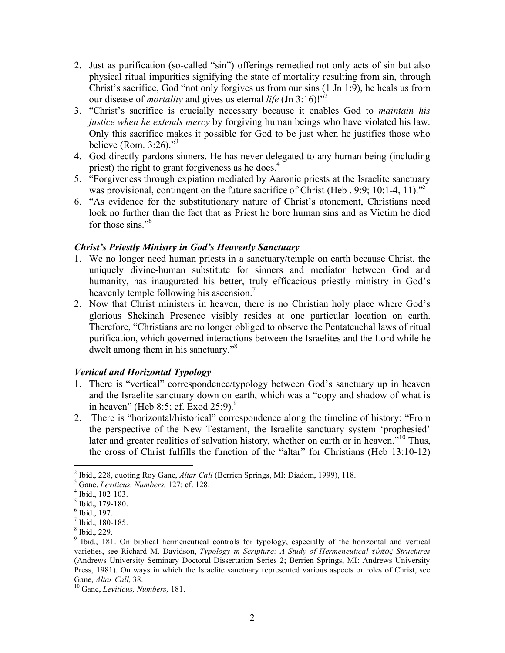- 2. Just as purification (so-called "sin") offerings remedied not only acts of sin but also physical ritual impurities signifying the state of mortality resulting from sin, through Christ's sacrifice, God "not only forgives us from our sins (1 Jn 1:9), he heals us from our disease of *mortality* and gives us eternal *life* (Jn 3:16)!"<sup>2</sup>
- 3. "Christ's sacrifice is crucially necessary because it enables God to *maintain his justice when he extends mercy* by forgiving human beings who have violated his law. Only this sacrifice makes it possible for God to be just when he justifies those who believe (Rom. 3:26)."<sup>3</sup>
- 4. God directly pardons sinners. He has never delegated to any human being (including priest) the right to grant forgiveness as he does.<sup>4</sup>
- 5. "Forgiveness through expiation mediated by Aaronic priests at the Israelite sanctuary was provisional, contingent on the future sacrifice of Christ (Heb . 9:9; 10:1-4, 11)."<sup>5</sup>
- 6. "As evidence for the substitutionary nature of Christ's atonement, Christians need look no further than the fact that as Priest he bore human sins and as Victim he died for those sins."<sup>6</sup>

## *Christ's Priestly Ministry in God's Heavenly Sanctuary*

- 1. We no longer need human priests in a sanctuary/temple on earth because Christ, the uniquely divine-human substitute for sinners and mediator between God and humanity, has inaugurated his better, truly efficacious priestly ministry in God's heavenly temple following his ascension.<sup>7</sup>
- 2. Now that Christ ministers in heaven, there is no Christian holy place where God's glorious Shekinah Presence visibly resides at one particular location on earth. Therefore, "Christians are no longer obliged to observe the Pentateuchal laws of ritual purification, which governed interactions between the Israelites and the Lord while he dwelt among them in his sanctuary."<sup>8</sup>

## *Vertical and Horizontal Typology*

- 1. There is "vertical" correspondence/typology between God's sanctuary up in heaven and the Israelite sanctuary down on earth, which was a "copy and shadow of what is in heaven" (Heb 8:5; cf. Exod 25:9).<sup>9</sup>
- 2. There is "horizontal/historical" correspondence along the timeline of history: "From the perspective of the New Testament, the Israelite sanctuary system 'prophesied' later and greater realities of salvation history, whether on earth or in heaven.<sup>510</sup> Thus, the cross of Christ fulfills the function of the "altar" for Christians (Heb 13:10-12)

<sup>&</sup>lt;sup>2</sup> Ibid., 228, quoting Roy Gane, *Altar Call* (Berrien Springs, MI: Diadem, 1999), 118.<br>
<sup>3</sup> Gane, *Leviticus, Numbers*, 127; cf. 128.<br>
<sup>4</sup> Ibid., 102-103.<br>
<sup>6</sup> Ibid., 179-180.<br>
<sup>6</sup> Ibid., 197.<br>
<sup>7</sup> Ibid., 180-185.<br>
<sup>8</sup> varieties, see Richard M. Davidson, *Typology in Scripture: A Study of Hermeneutical tu/poß Structures* (Andrews University Seminary Doctoral Dissertation Series 2; Berrien Springs, MI: Andrews University Press, 1981). On ways in which the Israelite sanctuary represented various aspects or roles of Christ, see Gane, *Altar Call*, 38.

<sup>&</sup>lt;sup>10</sup> Gane, *Leviticus, Numbers,* 181.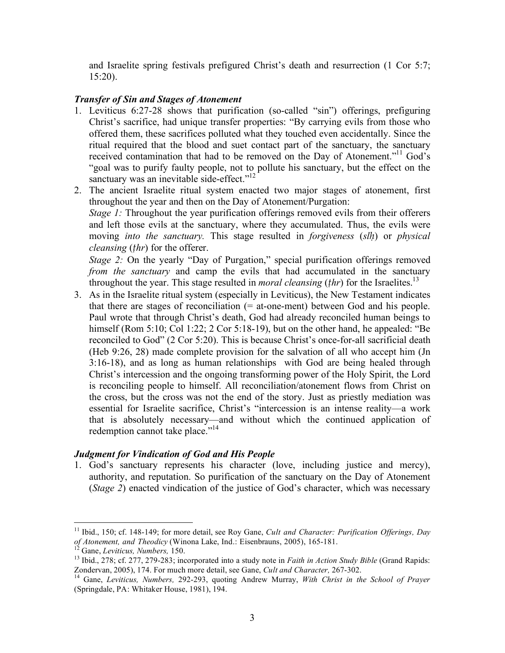and Israelite spring festivals prefigured Christ's death and resurrection (1 Cor 5:7; 15:20).

## *Transfer of Sin and Stages of Atonement*

- 1. Leviticus 6:27-28 shows that purification (so-called "sin") offerings, prefiguring Christ's sacrifice, had unique transfer properties: "By carrying evils from those who offered them, these sacrifices polluted what they touched even accidentally. Since the ritual required that the blood and suet contact part of the sanctuary, the sanctuary received contamination that had to be removed on the Day of Atonement."<sup>11</sup> God's "goal was to purify faulty people, not to pollute his sanctuary, but the effect on the sanctuary was an inevitable side-effect."<sup>12</sup>
- 2. The ancient Israelite ritual system enacted two major stages of atonement, first throughout the year and then on the Day of Atonement/Purgation: *Stage* 1: Throughout the year purification offerings removed evils from their offerers and left those evils at the sanctuary, where they accumulated. Thus, the evils were moving *into the sanctuary.* This stage resulted in *forgiveness* (*slḥ*) or *physical cleansing* (*ṭhr*) for the offerer.

*Stage 2:* On the yearly "Day of Purgation," special purification offerings removed *from the sanctuary* and camp the evils that had accumulated in the sanctuary throughout the year. This stage resulted in *moral cleansing* (*ṭhr*) for the Israelites. 13

3. As in the Israelite ritual system (especially in Leviticus), the New Testament indicates that there are stages of reconciliation  $(=$  at-one-ment) between God and his people. Paul wrote that through Christ's death, God had already reconciled human beings to himself (Rom 5:10; Col 1:22; 2 Cor 5:18-19), but on the other hand, he appealed: "Be reconciled to God" (2 Cor 5:20). This is because Christ's once-for-all sacrificial death (Heb 9:26, 28) made complete provision for the salvation of all who accept him (Jn 3:16-18), and as long as human relationships with God are being healed through Christ's intercession and the ongoing transforming power of the Holy Spirit, the Lord is reconciling people to himself. All reconciliation/atonement flows from Christ on the cross, but the cross was not the end of the story. Just as priestly mediation was essential for Israelite sacrifice, Christ's "intercession is an intense reality—a work that is absolutely necessary—and without which the continued application of redemption cannot take place."<sup>14</sup>

## *Judgment for Vindication of God and His People*

1. God's sanctuary represents his character (love, including justice and mercy), authority, and reputation. So purification of the sanctuary on the Day of Atonement (*Stage 2*) enacted vindication of the justice of God's character, which was necessary

 <sup>11</sup> Ibid., 150; cf. 148-149; for more detail, see Roy Gane, *Cult and Character: Purification Offerings, Day*

<sup>&</sup>lt;sup>12</sup> Gane, *Leviticus*, *Numbers*, 150.<br><sup>13</sup> Ibid., 278; cf. 277, 279-283; incorporated into a study note in *Faith in Action Study Bible* (Grand Rapids: Zondervan, 2005), 174. For much more detail, see Gane, *Cult and Character*, 267-302.<br><sup>14</sup> Gane, *Leviticus, Numbers*, 292-293, quoting Andrew Murray, *With Christ in the School of Prayer* 

<sup>(</sup>Springdale, PA: Whitaker House, 1981), 194.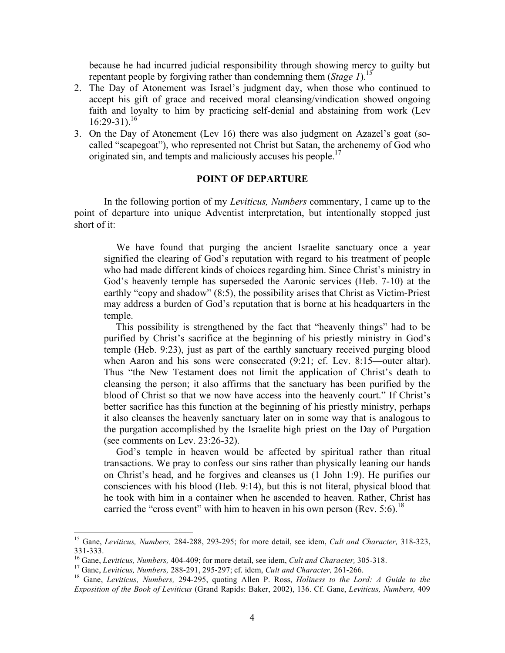because he had incurred judicial responsibility through showing mercy to guilty but repentant people by forgiving rather than condemning them (*Stage 1*). 15

- 2. The Day of Atonement was Israel's judgment day, when those who continued to accept his gift of grace and received moral cleansing/vindication showed ongoing faith and loyalty to him by practicing self-denial and abstaining from work (Lev  $16:29-31$ <sup>16</sup>
- 3. On the Day of Atonement (Lev 16) there was also judgment on Azazel's goat (socalled "scapegoat"), who represented not Christ but Satan, the archenemy of God who originated sin, and tempts and maliciously accuses his people.<sup>17</sup>

#### **POINT OF DEPARTURE**

In the following portion of my *Leviticus, Numbers* commentary, I came up to the point of departure into unique Adventist interpretation, but intentionally stopped just short of it:

We have found that purging the ancient Israelite sanctuary once a year signified the clearing of God's reputation with regard to his treatment of people who had made different kinds of choices regarding him. Since Christ's ministry in God's heavenly temple has superseded the Aaronic services (Heb. 7-10) at the earthly "copy and shadow" (8:5), the possibility arises that Christ as Victim-Priest may address a burden of God's reputation that is borne at his headquarters in the temple.

This possibility is strengthened by the fact that "heavenly things" had to be purified by Christ's sacrifice at the beginning of his priestly ministry in God's temple (Heb. 9:23), just as part of the earthly sanctuary received purging blood when Aaron and his sons were consecrated  $(9:21;$  cf. Lev. 8:15—outer altar). Thus "the New Testament does not limit the application of Christ's death to cleansing the person; it also affirms that the sanctuary has been purified by the blood of Christ so that we now have access into the heavenly court." If Christ's better sacrifice has this function at the beginning of his priestly ministry, perhaps it also cleanses the heavenly sanctuary later on in some way that is analogous to the purgation accomplished by the Israelite high priest on the Day of Purgation (see comments on Lev. 23:26-32).

God's temple in heaven would be affected by spiritual rather than ritual transactions. We pray to confess our sins rather than physically leaning our hands on Christ's head, and he forgives and cleanses us (1 John 1:9). He purifies our consciences with his blood (Heb. 9:14), but this is not literal, physical blood that he took with him in a container when he ascended to heaven. Rather, Christ has carried the "cross event" with him to heaven in his own person (Rev.  $5:6$ ).<sup>18</sup>

 <sup>15</sup> Gane, *Leviticus, Numbers,* 284-288, 293-295; for more detail, see idem, *Cult and Character,* 318-323,

<sup>&</sup>lt;sup>16</sup> Gane, *Leviticus*, *Numbers*, 404-409; for more detail, see idem, *Cult and Character*, 305-318.<br><sup>17</sup> Gane, *Leviticus*, *Numbers*, 288-291, 295-297; cf. idem, *Cult and Character*, 261-266.<br><sup>18</sup> Gane. *Leviticus*. *Exposition of the Book of Leviticus* (Grand Rapids: Baker, 2002), 136. Cf. Gane, *Leviticus, Numbers,* 409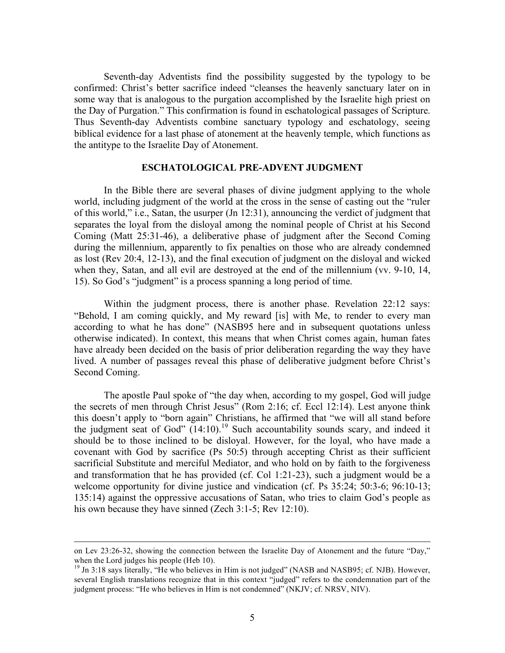Seventh-day Adventists find the possibility suggested by the typology to be confirmed: Christ's better sacrifice indeed "cleanses the heavenly sanctuary later on in some way that is analogous to the purgation accomplished by the Israelite high priest on the Day of Purgation." This confirmation is found in eschatological passages of Scripture. Thus Seventh-day Adventists combine sanctuary typology and eschatology, seeing biblical evidence for a last phase of atonement at the heavenly temple, which functions as the antitype to the Israelite Day of Atonement.

#### **ESCHATOLOGICAL PRE-ADVENT JUDGMENT**

In the Bible there are several phases of divine judgment applying to the whole world, including judgment of the world at the cross in the sense of casting out the "ruler of this world," i.e., Satan, the usurper (Jn 12:31), announcing the verdict of judgment that separates the loyal from the disloyal among the nominal people of Christ at his Second Coming (Matt 25:31-46), a deliberative phase of judgment after the Second Coming during the millennium, apparently to fix penalties on those who are already condemned as lost (Rev 20:4, 12-13), and the final execution of judgment on the disloyal and wicked when they, Satan, and all evil are destroyed at the end of the millennium (vv. 9-10, 14, 15). So God's "judgment" is a process spanning a long period of time.

Within the judgment process, there is another phase. Revelation 22:12 says: "Behold, I am coming quickly, and My reward [is] with Me, to render to every man according to what he has done" (NASB95 here and in subsequent quotations unless otherwise indicated). In context, this means that when Christ comes again, human fates have already been decided on the basis of prior deliberation regarding the way they have lived. A number of passages reveal this phase of deliberative judgment before Christ's Second Coming.

The apostle Paul spoke of "the day when, according to my gospel, God will judge the secrets of men through Christ Jesus" (Rom 2:16; cf. Eccl 12:14). Lest anyone think this doesn't apply to "born again" Christians, he affirmed that "we will all stand before the judgment seat of God"  $(14:10)$ .<sup>19</sup> Such accountability sounds scary, and indeed it should be to those inclined to be disloyal. However, for the loyal, who have made a covenant with God by sacrifice (Ps 50:5) through accepting Christ as their sufficient sacrificial Substitute and merciful Mediator, and who hold on by faith to the forgiveness and transformation that he has provided (cf. Col 1:21-23), such a judgment would be a welcome opportunity for divine justice and vindication (cf. Ps 35:24; 50:3-6; 96:10-13; 135:14) against the oppressive accusations of Satan, who tries to claim God's people as his own because they have sinned (Zech 3:1-5; Rev 12:10).

on Lev 23:26-32, showing the connection between the Israelite Day of Atonement and the future "Day," when the Lord judges his people (Heb 10).<br><sup>19</sup> Jn 3:18 says literally, "He who believes in Him is not judged" (NASB and NASB95; cf. NJB). However,

several English translations recognize that in this context "judged" refers to the condemnation part of the judgment process: "He who believes in Him is not condemned" (NKJV; cf. NRSV, NIV).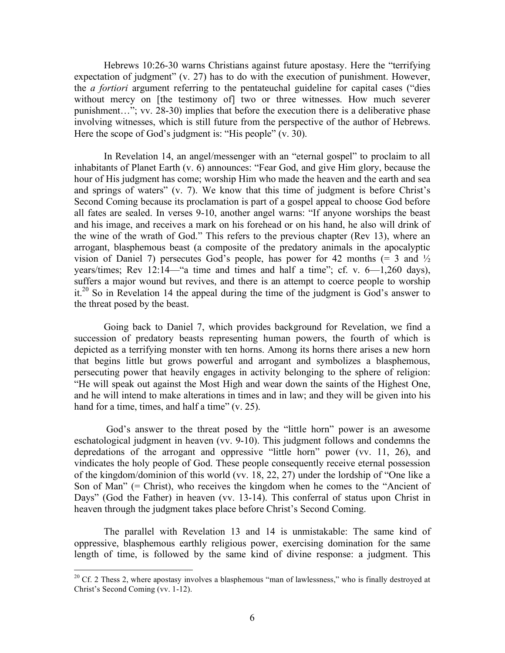Hebrews 10:26-30 warns Christians against future apostasy. Here the "terrifying expectation of judgment" (v. 27) has to do with the execution of punishment. However, the *a fortiori* argument referring to the pentateuchal guideline for capital cases ("dies without mercy on [the testimony of] two or three witnesses. How much severer punishment…"; vv. 28-30) implies that before the execution there is a deliberative phase involving witnesses, which is still future from the perspective of the author of Hebrews. Here the scope of God's judgment is: "His people" (v. 30).

In Revelation 14, an angel/messenger with an "eternal gospel" to proclaim to all inhabitants of Planet Earth (v. 6) announces: "Fear God, and give Him glory, because the hour of His judgment has come; worship Him who made the heaven and the earth and sea and springs of waters" (v. 7). We know that this time of judgment is before Christ's Second Coming because its proclamation is part of a gospel appeal to choose God before all fates are sealed. In verses 9-10, another angel warns: "If anyone worships the beast and his image, and receives a mark on his forehead or on his hand, he also will drink of the wine of the wrath of God." This refers to the previous chapter (Rev 13), where an arrogant, blasphemous beast (a composite of the predatory animals in the apocalyptic vision of Daniel 7) persecutes God's people, has power for 42 months  $(= 3 \text{ and } \frac{1}{2})$ years/times; Rev 12:14—"a time and times and half a time"; cf. v. 6—1,260 days), suffers a major wound but revives, and there is an attempt to coerce people to worship it.<sup>20</sup> So in Revelation 14 the appeal during the time of the judgment is God's answer to the threat posed by the beast.

Going back to Daniel 7, which provides background for Revelation, we find a succession of predatory beasts representing human powers, the fourth of which is depicted as a terrifying monster with ten horns. Among its horns there arises a new horn that begins little but grows powerful and arrogant and symbolizes a blasphemous, persecuting power that heavily engages in activity belonging to the sphere of religion: "He will speak out against the Most High and wear down the saints of the Highest One, and he will intend to make alterations in times and in law; and they will be given into his hand for a time, times, and half a time" (v. 25).

God's answer to the threat posed by the "little horn" power is an awesome eschatological judgment in heaven (vv. 9-10). This judgment follows and condemns the depredations of the arrogant and oppressive "little horn" power (vv. 11, 26), and vindicates the holy people of God. These people consequently receive eternal possession of the kingdom/dominion of this world (vv. 18, 22, 27) under the lordship of "One like a Son of Man" (= Christ), who receives the kingdom when he comes to the "Ancient of Days" (God the Father) in heaven (vv. 13-14). This conferral of status upon Christ in heaven through the judgment takes place before Christ's Second Coming.

The parallel with Revelation 13 and 14 is unmistakable: The same kind of oppressive, blasphemous earthly religious power, exercising domination for the same length of time, is followed by the same kind of divine response: a judgment. This

<sup>&</sup>lt;sup>20</sup> Cf. 2 Thess 2, where apostasy involves a blasphemous "man of lawlessness," who is finally destroyed at Christ's Second Coming (vv. 1-12).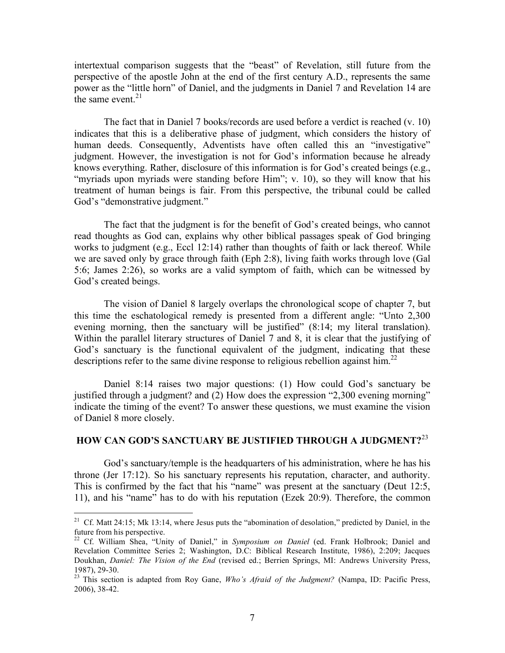intertextual comparison suggests that the "beast" of Revelation, still future from the perspective of the apostle John at the end of the first century A.D., represents the same power as the "little horn" of Daniel, and the judgments in Daniel 7 and Revelation 14 are the same event. $21$ 

The fact that in Daniel 7 books/records are used before a verdict is reached (v. 10) indicates that this is a deliberative phase of judgment, which considers the history of human deeds. Consequently, Adventists have often called this an "investigative" judgment. However, the investigation is not for God's information because he already knows everything. Rather, disclosure of this information is for God's created beings (e.g., "myriads upon myriads were standing before Him"; v. 10), so they will know that his treatment of human beings is fair. From this perspective, the tribunal could be called God's "demonstrative judgment."

The fact that the judgment is for the benefit of God's created beings, who cannot read thoughts as God can, explains why other biblical passages speak of God bringing works to judgment (e.g., Eccl 12:14) rather than thoughts of faith or lack thereof. While we are saved only by grace through faith (Eph 2:8), living faith works through love (Gal 5:6; James 2:26), so works are a valid symptom of faith, which can be witnessed by God's created beings.

The vision of Daniel 8 largely overlaps the chronological scope of chapter 7, but this time the eschatological remedy is presented from a different angle: "Unto 2,300 evening morning, then the sanctuary will be justified" (8:14; my literal translation). Within the parallel literary structures of Daniel 7 and 8, it is clear that the justifying of God's sanctuary is the functional equivalent of the judgment, indicating that these descriptions refer to the same divine response to religious rebellion against him.<sup>22</sup>

Daniel 8:14 raises two major questions: (1) How could God's sanctuary be justified through a judgment? and (2) How does the expression "2,300 evening morning" indicate the timing of the event? To answer these questions, we must examine the vision of Daniel 8 more closely.

## **HOW CAN GOD'S SANCTUARY BE JUSTIFIED THROUGH A JUDGMENT?**<sup>23</sup>

God's sanctuary/temple is the headquarters of his administration, where he has his throne (Jer 17:12). So his sanctuary represents his reputation, character, and authority. This is confirmed by the fact that his "name" was present at the sanctuary (Deut 12:5, 11), and his "name" has to do with his reputation (Ezek 20:9). Therefore, the common

<sup>&</sup>lt;sup>21</sup> Cf. Matt 24:15; Mk 13:14, where Jesus puts the "abomination of desolation," predicted by Daniel, in the future from his perspective.

<sup>&</sup>lt;sup>22</sup> Cf. William Shea, "Unity of Daniel," in *Symposium on Daniel* (ed. Frank Holbrook; Daniel and Revelation Committee Series 2; Washington, D.C: Biblical Research Institute, 1986), 2:209; Jacques Doukhan, *Daniel: The Vision of the End* (revised ed.; Berrien Springs, MI: Andrews University Press, 1987), 29-30. <sup>23</sup> This section is adapted from Roy Gane, *Who's Afraid of the Judgment?* (Nampa, ID: Pacific Press,

<sup>2006),</sup> 38-42.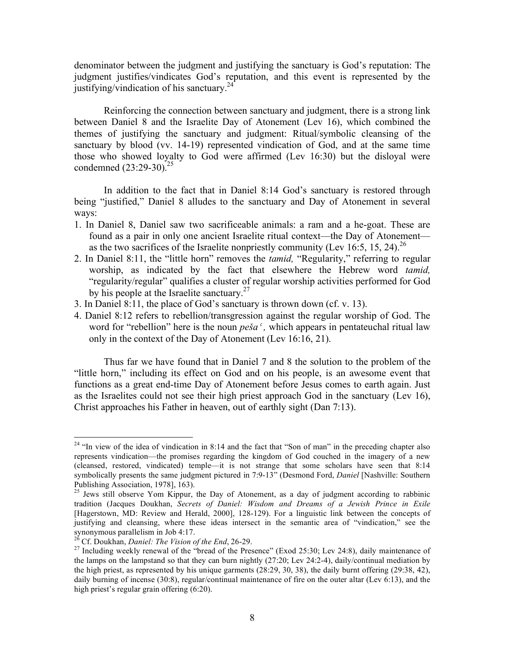denominator between the judgment and justifying the sanctuary is God's reputation: The judgment justifies/vindicates God's reputation, and this event is represented by the justifying/vindication of his sanctuary.<sup>24</sup>

Reinforcing the connection between sanctuary and judgment, there is a strong link between Daniel 8 and the Israelite Day of Atonement (Lev 16), which combined the themes of justifying the sanctuary and judgment: Ritual/symbolic cleansing of the sanctuary by blood (vv. 14-19) represented vindication of God, and at the same time those who showed loyalty to God were affirmed (Lev 16:30) but the disloyal were condemned (23:29-30).<sup>25</sup>

In addition to the fact that in Daniel 8:14 God's sanctuary is restored through being "justified," Daniel 8 alludes to the sanctuary and Day of Atonement in several ways:

- 1. In Daniel 8, Daniel saw two sacrificeable animals: a ram and a he-goat. These are found as a pair in only one ancient Israelite ritual context—the Day of Atonement as the two sacrifices of the Israelite nonpriestly community (Lev 16:5, 15, 24).<sup>26</sup>
- 2. In Daniel 8:11, the "little horn" removes the *tamid,* "Regularity," referring to regular worship, as indicated by the fact that elsewhere the Hebrew word *tamid,* "regularity/regular" qualifies a cluster of regular worship activities performed for God by his people at the Israelite sanctuary.<sup>27</sup>
- 3. In Daniel 8:11, the place of God's sanctuary is thrown down (cf. v. 13).
- 4. Daniel 8:12 refers to rebellion/transgression against the regular worship of God. The word for "rebellion" here is the noun  $pe\ddot{s}a^{\prime}$ , which appears in pentateuchal ritual law only in the context of the Day of Atonement (Lev 16:16, 21).

Thus far we have found that in Daniel 7 and 8 the solution to the problem of the "little horn," including its effect on God and on his people, is an awesome event that functions as a great end-time Day of Atonement before Jesus comes to earth again. Just as the Israelites could not see their high priest approach God in the sanctuary (Lev 16), Christ approaches his Father in heaven, out of earthly sight (Dan 7:13).

<sup>&</sup>lt;sup>24</sup> "In view of the idea of vindication in 8:14 and the fact that "Son of man" in the preceding chapter also represents vindication—the promises regarding the kingdom of God couched in the imagery of a new (cleansed, restored, vindicated) temple—it is not strange that some scholars have seen that 8:14 symbolically presents the same judgment pictured in 7:9-13" (Desmond Ford, *Daniel* [Nashville: Southern Publishing Association, 1978], 163).<br><sup>25</sup> Jews still observe Yom Kippur, the Day of Atonement, as a day of judgment according to rabbinic

tradition (Jacques Doukhan, *Secrets of Daniel: Wisdom and Dreams of a Jewish Prince in Exile* [Hagerstown, MD: Review and Herald, 2000], 128-129). For a linguistic link between the concepts of justifying and cleansing, where these ideas intersect in the semantic area of "vindication," see the synonymous parallelism in Job 4:17.<br><sup>26</sup> Cf. Doukhan, *Daniel: The Vision of the End*, 26-29.

<sup>&</sup>lt;sup>27</sup> Including weekly renewal of the "bread of the Presence" (Exod 25:30; Lev 24:8), daily maintenance of the lamps on the lampstand so that they can burn nightly (27:20; Lev 24:2-4), daily/continual mediation by the high priest, as represented by his unique garments (28:29, 30, 38), the daily burnt offering (29:38, 42), daily burning of incense (30:8), regular/continual maintenance of fire on the outer altar (Lev 6:13), and the high priest's regular grain offering (6:20).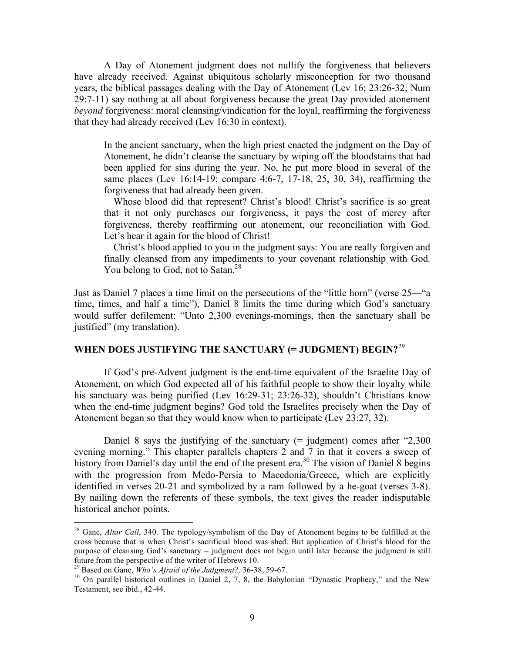A Day of Atonement judgment does not nullify the forgiveness that believers have already received. Against ubiquitous scholarly misconception for two thousand years, the biblical passages dealing with the Day of Atonement (Lev 16; 23:26-32; Num 29:7-11) say nothing at all about forgiveness because the great Day provided atonement *beyond* forgiveness: moral cleansing/vindication for the loyal, reaffirming the forgiveness that they had already received (Lev 16:30 in context).

In the ancient sanctuary, when the high priest enacted the judgment on the Day of Atonement, he didn't cleanse the sanctuary by wiping off the bloodstains that had been applied for sins during the year. No, he put more blood in several of the same places (Lev 16:14-19; compare 4:6-7, 17-18, 25, 30, 34), reaffirming the forgiveness that had already been given.

Whose blood did that represent? Christ's blood! Christ's sacrifice is so great that it not only purchases our forgiveness, it pays the cost of mercy after forgiveness, thereby reaffirming our atonement, our reconciliation with God. Let's hear it again for the blood of Christ!

Christ's blood applied to you in the judgment says: You are really forgiven and finally cleansed from any impediments to your covenant relationship with God. You belong to God, not to Satan.<sup>28</sup>

Just as Daniel 7 places a time limit on the persecutions of the "little horn" (verse 25—"a time, times, and half a time"), Daniel 8 limits the time during which God's sanctuary would suffer defilement: "Unto 2,300 evenings-mornings, then the sanctuary shall be justified" (my translation).

## **WHEN DOES JUSTIFYING THE SANCTUARY (= JUDGMENT) BEGIN?**<sup>29</sup>

If God's pre-Advent judgment is the end-time equivalent of the Israelite Day of Atonement, on which God expected all of his faithful people to show their loyalty while his sanctuary was being purified (Lev 16:29-31; 23:26-32), shouldn't Christians know when the end-time judgment begins? God told the Israelites precisely when the Day of Atonement began so that they would know when to participate (Lev 23:27, 32).

Daniel 8 says the justifying of the sanctuary  $(=$  judgment) comes after  $"2,300"$ evening morning." This chapter parallels chapters 2 and 7 in that it covers a sweep of history from Daniel's day until the end of the present era.<sup>30</sup> The vision of Daniel 8 begins with the progression from Medo-Persia to Macedonia/Greece, which are explicitly identified in verses 20-21 and symbolized by a ram followed by a he-goat (verses 3-8). By nailing down the referents of these symbols, the text gives the reader indisputable historical anchor points.

<sup>&</sup>lt;sup>28</sup> Gane, *Altar Call*, 340. The typology/symbolism of the Day of Atonement begins to be fulfilled at the cross because that is when Christ's sacrificial blood was shed. But application of Christ's blood for the purpose of cleansing God's sanctuary = judgment does not begin until later because the judgment is still future from the perspective of the writer of Hebrews 10.<br><sup>29</sup> Based on Gane, *Who's Afraid of the Judgment?*, 36-38, 59-67.<br><sup>30</sup> On parallel historical outlines in Daniel 2, 7, 8, the Babylonian "Dynastic Prophecy," and t

Testament, see ibid., 42-44.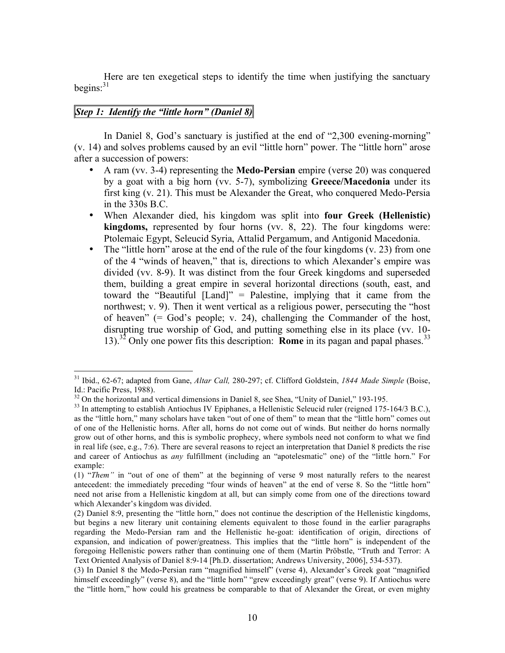Here are ten exegetical steps to identify the time when justifying the sanctuary begins: 31

# *Step 1: Identify the "little horn" (Daniel 8)*

In Daniel 8, God's sanctuary is justified at the end of "2,300 evening-morning" (v. 14) and solves problems caused by an evil "little horn" power. The "little horn" arose after a succession of powers:

- A ram (vv. 3-4) representing the **Medo-Persian** empire (verse 20) was conquered by a goat with a big horn (vv. 5-7), symbolizing **Greece/Macedonia** under its first king (v. 21). This must be Alexander the Great, who conquered Medo-Persia in the 330s B.C.
- When Alexander died, his kingdom was split into **four Greek (Hellenistic) kingdoms,** represented by four horns (vv. 8, 22). The four kingdoms were: Ptolemaic Egypt, Seleucid Syria, Attalid Pergamum, and Antigonid Macedonia.
- The "little horn" arose at the end of the rule of the four kingdoms (v. 23) from one of the 4 "winds of heaven," that is, directions to which Alexander's empire was divided (vv. 8-9). It was distinct from the four Greek kingdoms and superseded them, building a great empire in several horizontal directions (south, east, and toward the "Beautiful [Land]" = Palestine, implying that it came from the northwest; v. 9). Then it went vertical as a religious power, persecuting the "host of heaven"  $(= God's people; v. 24)$ , challenging the Commander of the host, disrupting true worship of God, and putting something else in its place (vv. 10- 13). <sup>32</sup> Only one power fits this description: **Rome** in its pagan and papal phases. 33

 <sup>31</sup> Ibid., 62-67; adapted from Gane, *Altar Call,* 280-297; cf. Clifford Goldstein, *<sup>1844</sup> Made Simple* (Boise, Id.: Pacific Press, 1988).<br><sup>32</sup> On the horizontal and vertical dimensions in Daniel 8, see Shea, "Unity of Daniel," 193-195.<br><sup>33</sup> In attempting to establish Antiochus IV Epiphanes, a Hellenistic Seleucid ruler (reigned 175

as the "little horn," many scholars have taken "out of one of them" to mean that the "little horn" comes out of one of the Hellenistic horns. After all, horns do not come out of winds. But neither do horns normally grow out of other horns, and this is symbolic prophecy, where symbols need not conform to what we find in real life (see, e.g., 7:6). There are several reasons to reject an interpretation that Daniel 8 predicts the rise and career of Antiochus as *any* fulfillment (including an "apotelesmatic" one) of the "little horn." For example:

<sup>(1)</sup> "*Them"* in "out of one of them" at the beginning of verse 9 most naturally refers to the nearest antecedent: the immediately preceding "four winds of heaven" at the end of verse 8. So the "little horn" need not arise from a Hellenistic kingdom at all, but can simply come from one of the directions toward which Alexander's kingdom was divided.

<sup>(2)</sup> Daniel 8:9, presenting the "little horn," does not continue the description of the Hellenistic kingdoms, but begins a new literary unit containing elements equivalent to those found in the earlier paragraphs regarding the Medo-Persian ram and the Hellenistic he-goat: identification of origin, directions of expansion, and indication of power/greatness. This implies that the "little horn" is independent of the foregoing Hellenistic powers rather than continuing one of them (Martin Pröbstle, "Truth and Terror: A Text Oriented Analysis of Daniel 8:9-14 [Ph.D. dissertation; Andrews University, 2006], 534-537).

<sup>(3)</sup> In Daniel 8 the Medo-Persian ram "magnified himself" (verse 4), Alexander's Greek goat "magnified himself exceedingly" (verse 8), and the "little horn" "grew exceedingly great" (verse 9). If Antiochus were the "little horn," how could his greatness be comparable to that of Alexander the Great, or even mighty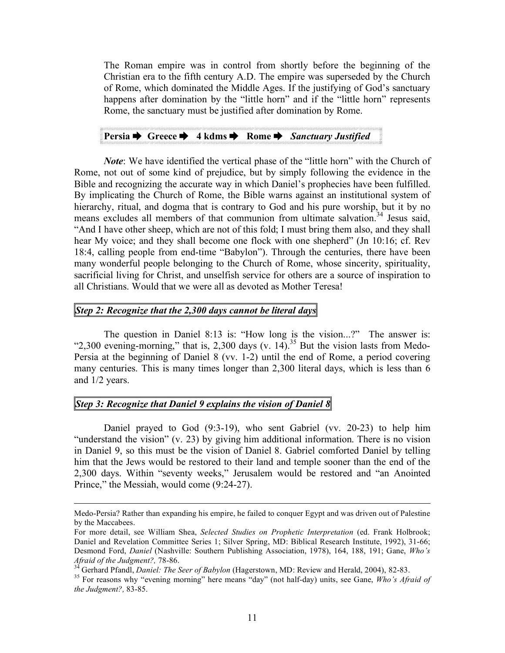The Roman empire was in control from shortly before the beginning of the Christian era to the fifth century A.D. The empire was superseded by the Church of Rome, which dominated the Middle Ages. If the justifying of God's sanctuary happens after domination by the "little horn" and if the "little horn" represents Rome, the sanctuary must be justified after domination by Rome.

# **Persia Greece 4 kdms Rome** *Sanctuary Justified*

*Note*: We have identified the vertical phase of the "little horn" with the Church of Rome, not out of some kind of prejudice, but by simply following the evidence in the Bible and recognizing the accurate way in which Daniel's prophecies have been fulfilled. By implicating the Church of Rome, the Bible warns against an institutional system of hierarchy, ritual, and dogma that is contrary to God and his pure worship, but it by no means excludes all members of that communion from ultimate salvation.<sup>34</sup> Jesus said, "And I have other sheep, which are not of this fold; I must bring them also, and they shall hear My voice; and they shall become one flock with one shepherd" (Jn 10:16; cf. Rev 18:4, calling people from end-time "Babylon"). Through the centuries, there have been many wonderful people belonging to the Church of Rome, whose sincerity, spirituality, sacrificial living for Christ, and unselfish service for others are a source of inspiration to all Christians. Would that we were all as devoted as Mother Teresa!

## *Step 2: Recognize that the 2,300 days cannot be literal days*

The question in Daniel 8:13 is: "How long is the vision...?" The answer is: "2,300 evening-morning," that is, 2,300 days (v.  $14$ ).<sup>35</sup> But the vision lasts from Medo-Persia at the beginning of Daniel 8 (vv. 1-2) until the end of Rome, a period covering many centuries. This is many times longer than 2,300 literal days, which is less than 6 and 1/2 years.

## *Step 3: Recognize that Daniel 9 explains the vision of Daniel 8*

 $\overline{a}$ 

Daniel prayed to God (9:3-19), who sent Gabriel (vv. 20-23) to help him "understand the vision" (v. 23) by giving him additional information. There is no vision in Daniel 9, so this must be the vision of Daniel 8. Gabriel comforted Daniel by telling him that the Jews would be restored to their land and temple sooner than the end of the 2,300 days. Within "seventy weeks," Jerusalem would be restored and "an Anointed Prince," the Messiah, would come (9:24-27).

Medo-Persia? Rather than expanding his empire, he failed to conquer Egypt and was driven out of Palestine by the Maccabees.

For more detail, see William Shea, *Selected Studies on Prophetic Interpretation* (ed. Frank Holbrook; Daniel and Revelation Committee Series 1; Silver Spring, MD: Biblical Research Institute, 1992), 31-66; Desmond Ford, *Daniel* (Nashville: Southern Publishing Association, 1978), 164, 188, 191; Gane, *Who's* Afraid of the Judgment?, 78-86.<br><sup>34</sup> Gerhard Pfandl, *Daniel: The Seer of Babylon* (Hagerstown, MD: Review and Herald, 2004), 82-83.<br><sup>35</sup> For reasons why "evening morning" here means "day" (not half-day) units, see Gane,

*the Judgment?,* 83-85.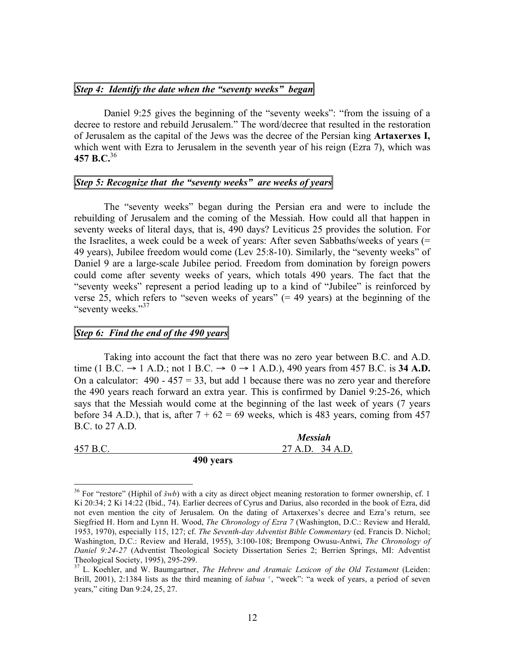### *Step 4: Identify the date when the "seventy weeks" began*

Daniel 9:25 gives the beginning of the "seventy weeks": "from the issuing of a decree to restore and rebuild Jerusalem." The word/decree that resulted in the restoration of Jerusalem as the capital of the Jews was the decree of the Persian king **Artaxerxes I,** which went with Ezra to Jerusalem in the seventh year of his reign (Ezra 7), which was **457 B.C.** 36

# *Step 5: Recognize that the "seventy weeks" are weeks of years*

The "seventy weeks" began during the Persian era and were to include the rebuilding of Jerusalem and the coming of the Messiah. How could all that happen in seventy weeks of literal days, that is, 490 days? Leviticus 25 provides the solution. For the Israelites, a week could be a week of years: After seven Sabbaths/weeks of years (= 49 years), Jubilee freedom would come (Lev 25:8-10). Similarly, the "seventy weeks" of Daniel 9 are a large-scale Jubilee period. Freedom from domination by foreign powers could come after seventy weeks of years, which totals 490 years. The fact that the "seventy weeks" represent a period leading up to a kind of "Jubilee" is reinforced by verse 25, which refers to "seven weeks of years"  $(= 49 \text{ years})$  at the beginning of the "seventy weeks."<sup>37</sup>

## *Step 6: Find the end of the 490 years*

Taking into account the fact that there was no zero year between B.C. and A.D. time (1 B.C.  $\rightarrow$  1 A.D.; not 1 B.C.  $\rightarrow$  0  $\rightarrow$  1 A.D.), 490 years from 457 B.C. is 34 A.D. On a calculator:  $490 - 457 = 33$ , but add 1 because there was no zero year and therefore the 490 years reach forward an extra year. This is confirmed by Daniel 9:25-26, which says that the Messiah would come at the beginning of the last week of years (7 years before 34 A.D.), that is, after  $7 + 62 = 69$  weeks, which is 483 years, coming from 457 B.C. to 27 A.D.

|          |           | <b>Messiah</b>  |  |
|----------|-----------|-----------------|--|
| 457 B.C. |           | 27 A.D. 34 A.D. |  |
|          | 490 years |                 |  |

 <sup>36</sup> For "restore" (Hiphil of *<sup>š</sup>wb*) with <sup>a</sup> city as direct object meaning restoration to former ownership, cf. <sup>1</sup> Ki 20:34; 2 Ki 14:22 (Ibid., 74). Earlier decrees of Cyrus and Darius, also recorded in the book of Ezra, did not even mention the city of Jerusalem. On the dating of Artaxerxes's decree and Ezra's return, see Siegfried H. Horn and Lynn H. Wood, *The Chronology of Ezra 7* (Washington, D.C.: Review and Herald, 1953, 1970), especially 115, 127; cf. *The Seventh-day Adventist Bible Commentary* (ed. Francis D. Nichol; Washington, D.C.: Review and Herald, 1955), 3:100-108; Brempong Owusu-Antwi, *The Chronology of Daniel 9:24-27* (Adventist Theological Society Dissertation Series 2; Berrien Springs, MI: Adventist

Theological Society, 1995), 295-299. <sup>37</sup> L. Koehler, and W. Baumgartner, *The Hebrew and Aramaic Lexicon of the Old Testament* (Leiden: Brill, 2001), 2:1384 lists as the third meaning of *šabua* ', "week": "a week of years, a period of seven years," citing Dan 9:24, 25, 27.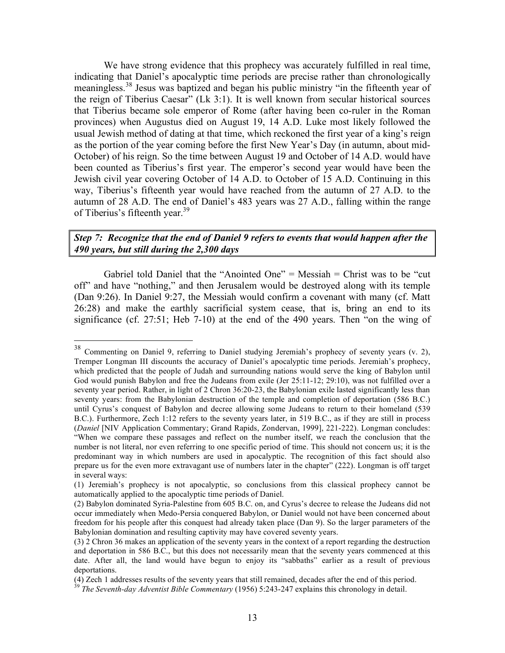We have strong evidence that this prophecy was accurately fulfilled in real time, indicating that Daniel's apocalyptic time periods are precise rather than chronologically meaningless. <sup>38</sup> Jesus was baptized and began his public ministry "in the fifteenth year of the reign of Tiberius Caesar" (Lk 3:1). It is well known from secular historical sources that Tiberius became sole emperor of Rome (after having been co-ruler in the Roman provinces) when Augustus died on August 19, 14 A.D. Luke most likely followed the usual Jewish method of dating at that time, which reckoned the first year of a king's reign as the portion of the year coming before the first New Year's Day (in autumn, about mid-October) of his reign. So the time between August 19 and October of 14 A.D. would have been counted as Tiberius's first year. The emperor's second year would have been the Jewish civil year covering October of 14 A.D. to October of 15 A.D. Continuing in this way, Tiberius's fifteenth year would have reached from the autumn of 27 A.D. to the autumn of 28 A.D. The end of Daniel's 483 years was 27 A.D., falling within the range of Tiberius's fifteenth year.<sup>39</sup>

## *Step 7: Recognize that the end of Daniel 9 refers to events that would happen after the 490 years, but still during the 2,300 days*

Gabriel told Daniel that the "Anointed One" = Messiah = Christ was to be "cut" off" and have "nothing," and then Jerusalem would be destroyed along with its temple (Dan 9:26). In Daniel 9:27, the Messiah would confirm a covenant with many (cf. Matt 26:28) and make the earthly sacrificial system cease, that is, bring an end to its significance (cf. 27:51; Heb 7-10) at the end of the 490 years. Then "on the wing of

 <sup>38</sup> Commenting on Daniel 9, referring to Daniel studying Jeremiah's prophecy of seventy years (v. 2), Tremper Longman III discounts the accuracy of Daniel's apocalyptic time periods. Jeremiah's prophecy, which predicted that the people of Judah and surrounding nations would serve the king of Babylon until God would punish Babylon and free the Judeans from exile (Jer 25:11-12; 29:10), was not fulfilled over a seventy year period. Rather, in light of 2 Chron 36:20-23, the Babylonian exile lasted significantly less than seventy years: from the Babylonian destruction of the temple and completion of deportation (586 B.C.) until Cyrus's conquest of Babylon and decree allowing some Judeans to return to their homeland (539 B.C.). Furthermore, Zech 1:12 refers to the seventy years later, in 519 B.C., as if they are still in process (*Daniel* [NIV Application Commentary; Grand Rapids, Zondervan, 1999], 221-222). Longman concludes: "When we compare these passages and reflect on the number itself, we reach the conclusion that the number is not literal, nor even referring to one specific period of time. This should not concern us; it is the predominant way in which numbers are used in apocalyptic. The recognition of this fact should also prepare us for the even more extravagant use of numbers later in the chapter" (222). Longman is off target in several ways:

<sup>(1)</sup> Jeremiah's prophecy is not apocalyptic, so conclusions from this classical prophecy cannot be automatically applied to the apocalyptic time periods of Daniel.

<sup>(2)</sup> Babylon dominated Syria-Palestine from 605 B.C. on, and Cyrus's decree to release the Judeans did not occur immediately when Medo-Persia conquered Babylon, or Daniel would not have been concerned about freedom for his people after this conquest had already taken place (Dan 9). So the larger parameters of the Babylonian domination and resulting captivity may have covered seventy years.

<sup>(3)</sup> 2 Chron 36 makes an application of the seventy years in the context of a report regarding the destruction and deportation in 586 B.C., but this does not necessarily mean that the seventy years commenced at this date. After all, the land would have begun to enjoy its "sabbaths" earlier as a result of previous deportations.<br>(4) Zech 1 addresses results of the seventy years that still remained, decades after the end of this period.

<sup>&</sup>lt;sup>39</sup> The Seventh-day Adventist Bible Commentary (1956) 5:243-247 explains this chronology in detail.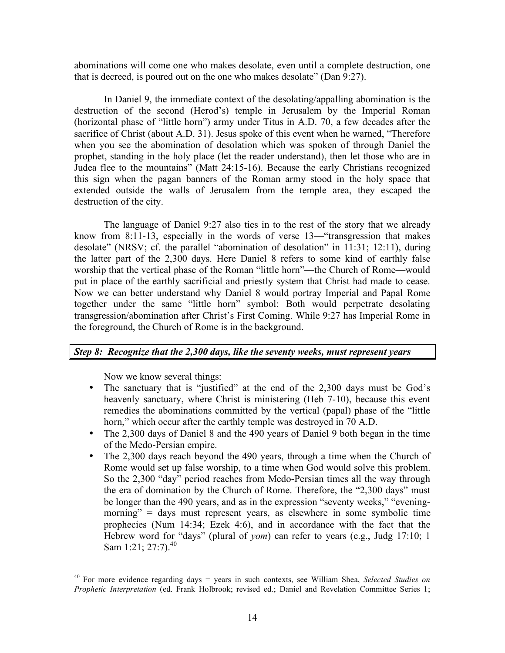abominations will come one who makes desolate, even until a complete destruction, one that is decreed, is poured out on the one who makes desolate" (Dan 9:27).

In Daniel 9, the immediate context of the desolating/appalling abomination is the destruction of the second (Herod's) temple in Jerusalem by the Imperial Roman (horizontal phase of "little horn") army under Titus in A.D. 70, a few decades after the sacrifice of Christ (about A.D. 31). Jesus spoke of this event when he warned, "Therefore when you see the abomination of desolation which was spoken of through Daniel the prophet, standing in the holy place (let the reader understand), then let those who are in Judea flee to the mountains" (Matt 24:15-16). Because the early Christians recognized this sign when the pagan banners of the Roman army stood in the holy space that extended outside the walls of Jerusalem from the temple area, they escaped the destruction of the city.

The language of Daniel 9:27 also ties in to the rest of the story that we already know from 8:11-13, especially in the words of verse 13—"transgression that makes desolate" (NRSV; cf. the parallel "abomination of desolation" in 11:31; 12:11), during the latter part of the 2,300 days. Here Daniel 8 refers to some kind of earthly false worship that the vertical phase of the Roman "little horn"—the Church of Rome—would put in place of the earthly sacrificial and priestly system that Christ had made to cease. Now we can better understand why Daniel 8 would portray Imperial and Papal Rome together under the same "little horn" symbol: Both would perpetrate desolating transgression/abomination after Christ's First Coming. While 9:27 has Imperial Rome in the foreground, the Church of Rome is in the background.

## *Step 8: Recognize that the 2,300 days, like the seventy weeks, must represent years*

Now we know several things:

- The sanctuary that is "justified" at the end of the 2,300 days must be God's heavenly sanctuary, where Christ is ministering (Heb 7-10), because this event remedies the abominations committed by the vertical (papal) phase of the "little horn," which occur after the earthly temple was destroyed in 70 A.D.
- The 2,300 days of Daniel 8 and the 490 years of Daniel 9 both began in the time of the Medo-Persian empire.
- The 2,300 days reach beyond the 490 years, through a time when the Church of Rome would set up false worship, to a time when God would solve this problem. So the 2,300 "day" period reaches from Medo-Persian times all the way through the era of domination by the Church of Rome. Therefore, the "2,300 days" must be longer than the 490 years, and as in the expression "seventy weeks," "eveningmorning" = days must represent years, as elsewhere in some symbolic time prophecies (Num 14:34; Ezek 4:6), and in accordance with the fact that the Hebrew word for "days" (plural of *yom*) can refer to years (e.g., Judg 17:10; 1 Sam 1:21; 27:7).<sup>40</sup>

 <sup>40</sup> For more evidence regarding days <sup>=</sup> years in such contexts, see William Shea, *Selected Studies on Prophetic Interpretation* (ed. Frank Holbrook; revised ed.; Daniel and Revelation Committee Series 1;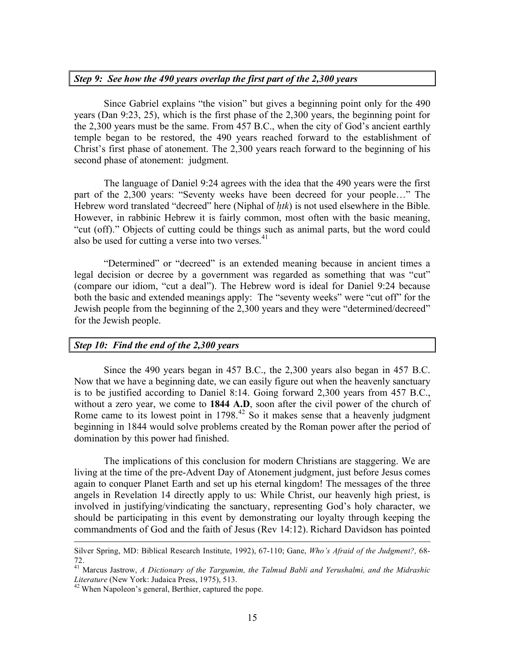## *Step 9: See how the 490 years overlap the first part of the 2,300 years*

Since Gabriel explains "the vision" but gives a beginning point only for the 490 years (Dan 9:23, 25), which is the first phase of the 2,300 years, the beginning point for the 2,300 years must be the same. From 457 B.C., when the city of God's ancient earthly temple began to be restored, the 490 years reached forward to the establishment of Christ's first phase of atonement. The 2,300 years reach forward to the beginning of his second phase of atonement: judgment.

The language of Daniel 9:24 agrees with the idea that the 490 years were the first part of the 2,300 years: "Seventy weeks have been decreed for your people…" The Hebrew word translated "decreed" here (Niphal of *ḥtk*) is not used elsewhere in the Bible. However, in rabbinic Hebrew it is fairly common, most often with the basic meaning, "cut (off)." Objects of cutting could be things such as animal parts, but the word could also be used for cutting a verse into two verses. 41

"Determined" or "decreed" is an extended meaning because in ancient times a legal decision or decree by a government was regarded as something that was "cut" (compare our idiom, "cut a deal"). The Hebrew word is ideal for Daniel 9:24 because both the basic and extended meanings apply: The "seventy weeks" were "cut off" for the Jewish people from the beginning of the 2,300 years and they were "determined/decreed" for the Jewish people.

### *Step 10: Find the end of the 2,300 years*

Since the 490 years began in 457 B.C., the 2,300 years also began in 457 B.C. Now that we have a beginning date, we can easily figure out when the heavenly sanctuary is to be justified according to Daniel 8:14. Going forward 2,300 years from 457 B.C., without a zero year, we come to **1844 A.D**, soon after the civil power of the church of Rome came to its lowest point in 1798.<sup>42</sup> So it makes sense that a heavenly judgment beginning in 1844 would solve problems created by the Roman power after the period of domination by this power had finished.

The implications of this conclusion for modern Christians are staggering. We are living at the time of the pre-Advent Day of Atonement judgment, just before Jesus comes again to conquer Planet Earth and set up his eternal kingdom! The messages of the three angels in Revelation 14 directly apply to us: While Christ, our heavenly high priest, is involved in justifying/vindicating the sanctuary, representing God's holy character, we should be participating in this event by demonstrating our loyalty through keeping the commandments of God and the faith of Jesus (Rev 14:12). Richard Davidson has pointed

Silver Spring, MD: Biblical Research Institute, 1992), 67-110; Gane, *Who's Afraid of the Judgment?,* 68-

<sup>72.</sup> <sup>41</sup> Marcus Jastrow, *<sup>A</sup> Dictionary of the Targumim, the Talmud Babli and Yerushalmi, and the Midrashic*

<sup>&</sup>lt;sup>42</sup> When Napoleon's general, Berthier, captured the pope.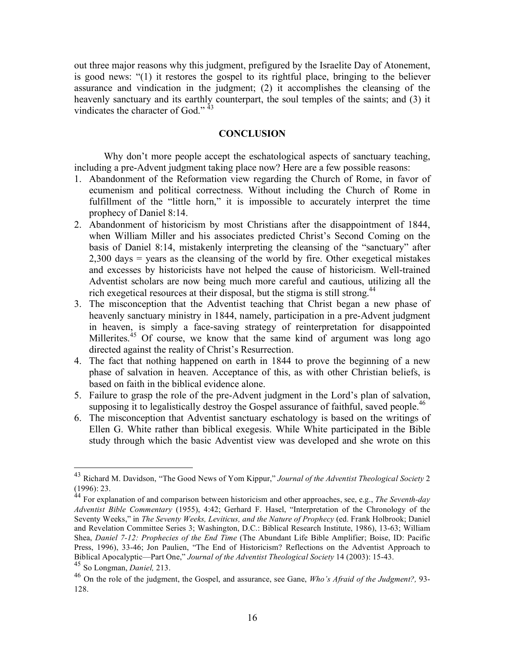out three major reasons why this judgment, prefigured by the Israelite Day of Atonement, is good news: "(1) it restores the gospel to its rightful place, bringing to the believer assurance and vindication in the judgment; (2) it accomplishes the cleansing of the heavenly sanctuary and its earthly counterpart, the soul temples of the saints; and (3) it vindicates the character of God."<sup>43</sup>

#### **CONCLUSION**

Why don't more people accept the eschatological aspects of sanctuary teaching. including a pre-Advent judgment taking place now? Here are a few possible reasons:

- 1. Abandonment of the Reformation view regarding the Church of Rome, in favor of ecumenism and political correctness. Without including the Church of Rome in fulfillment of the "little horn," it is impossible to accurately interpret the time prophecy of Daniel 8:14.
- 2. Abandonment of historicism by most Christians after the disappointment of 1844, when William Miller and his associates predicted Christ's Second Coming on the basis of Daniel 8:14, mistakenly interpreting the cleansing of the "sanctuary" after 2,300 days = years as the cleansing of the world by fire. Other exegetical mistakes and excesses by historicists have not helped the cause of historicism. Well-trained Adventist scholars are now being much more careful and cautious, utilizing all the rich exegetical resources at their disposal, but the stigma is still strong.<sup>44</sup>
- 3. The misconception that the Adventist teaching that Christ began a new phase of heavenly sanctuary ministry in 1844, namely, participation in a pre-Advent judgment in heaven, is simply a face-saving strategy of reinterpretation for disappointed Millerites.<sup>45</sup> Of course, we know that the same kind of argument was long ago directed against the reality of Christ's Resurrection.
- 4. The fact that nothing happened on earth in 1844 to prove the beginning of a new phase of salvation in heaven. Acceptance of this, as with other Christian beliefs, is based on faith in the biblical evidence alone.
- 5. Failure to grasp the role of the pre-Advent judgment in the Lord's plan of salvation, supposing it to legalistically destroy the Gospel assurance of faithful, saved people.<sup>46</sup>
- 6. The misconception that Adventist sanctuary eschatology is based on the writings of Ellen G. White rather than biblical exegesis. While White participated in the Bible study through which the basic Adventist view was developed and she wrote on this

 <sup>43</sup> Richard M. Davidson, "The Good News of Yom Kippur," *Journal of the Adventist Theological Society* <sup>2</sup>

<sup>&</sup>lt;sup>44</sup> For explanation of and comparison between historicism and other approaches, see, e.g., *The Seventh-day Adventist Bible Commentary* (1955), 4:42; Gerhard F. Hasel, "Interpretation of the Chronology of the Seventy Weeks," in *The Seventy Weeks, Leviticus, and the Nature of Prophecy* (ed. Frank Holbrook; Daniel and Revelation Committee Series 3; Washington, D.C.: Biblical Research Institute, 1986), 13-63; William Shea, *Daniel 7-12: Prophecies of the End Time* (The Abundant Life Bible Amplifier; Boise, ID: Pacific Press, 1996), 33-46; Jon Paulien, "The End of Historicism? Reflections on the Adventist Approach to Biblical Apocalyptic—Part One," *Journal of the Adventist Theological Society* <sup>14</sup> (2003): 15-43. <sup>45</sup> So Longman, *Daniel,* 213.

<sup>46</sup> On the role of the judgment, the Gospel, and assurance, see Gane, *Who's Afraid of the Judgment?,* 93- 128.